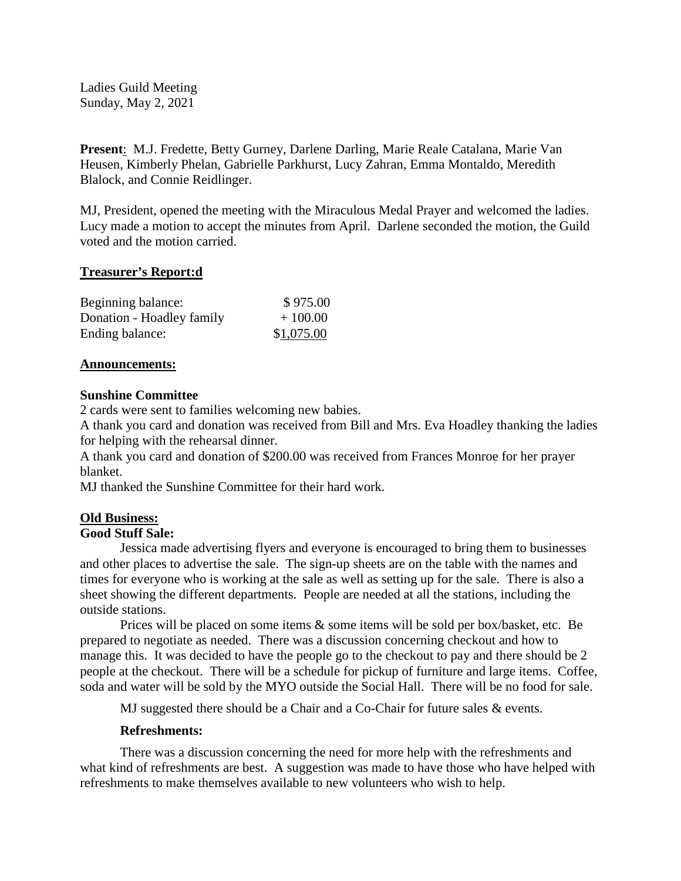Ladies Guild Meeting Sunday, May 2, 2021

**Present**: M.J. Fredette, Betty Gurney, Darlene Darling, Marie Reale Catalana, Marie Van Heusen, Kimberly Phelan, Gabrielle Parkhurst, Lucy Zahran, Emma Montaldo, Meredith Blalock, and Connie Reidlinger.

MJ, President, opened the meeting with the Miraculous Medal Prayer and welcomed the ladies. Lucy made a motion to accept the minutes from April. Darlene seconded the motion, the Guild voted and the motion carried.

# **Treasurer's Report:d**

| Beginning balance:        | \$975.00   |
|---------------------------|------------|
| Donation - Hoadley family | $+100.00$  |
| Ending balance:           | \$1,075.00 |

#### **Announcements:**

# **Sunshine Committee**

2 cards were sent to families welcoming new babies.

A thank you card and donation was received from Bill and Mrs. Eva Hoadley thanking the ladies for helping with the rehearsal dinner.

A thank you card and donation of \$200.00 was received from Frances Monroe for her prayer blanket.

MJ thanked the Sunshine Committee for their hard work.

# **Old Business:**

# **Good Stuff Sale:**

Jessica made advertising flyers and everyone is encouraged to bring them to businesses and other places to advertise the sale. The sign-up sheets are on the table with the names and times for everyone who is working at the sale as well as setting up for the sale. There is also a sheet showing the different departments. People are needed at all the stations, including the outside stations.

Prices will be placed on some items & some items will be sold per box/basket, etc. Be prepared to negotiate as needed. There was a discussion concerning checkout and how to manage this. It was decided to have the people go to the checkout to pay and there should be 2 people at the checkout. There will be a schedule for pickup of furniture and large items. Coffee, soda and water will be sold by the MYO outside the Social Hall. There will be no food for sale.

MJ suggested there should be a Chair and a Co-Chair for future sales & events.

# **Refreshments:**

There was a discussion concerning the need for more help with the refreshments and what kind of refreshments are best. A suggestion was made to have those who have helped with refreshments to make themselves available to new volunteers who wish to help.